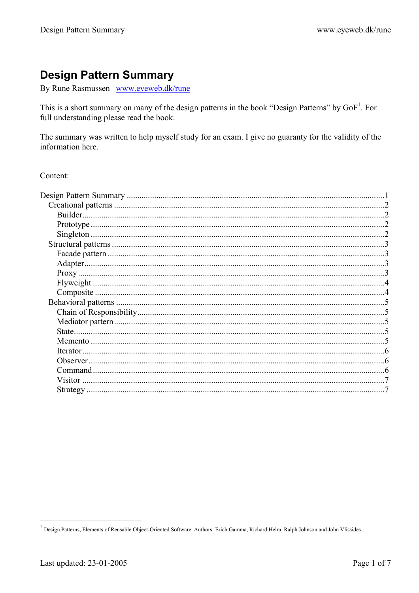# **Design Pattern Summary**

By Rune Rasmussen www.eyeweb.dk/rune

This is a short summary on many of the design patterns in the book "Design Patterns" by GoF<sup>1</sup>. For full understanding please read the book.

The summary was written to help myself study for an exam. I give no guaranty for the validity of the information here.

Content:

|          | 6 |
|----------|---|
|          |   |
|          |   |
| Visitor. |   |
|          |   |
|          |   |

<sup>&</sup>lt;sup>1</sup> Design Patterns, Elements of Reusable Object-Oriented Software. Authors: Erich Gamma, Richard Helm, Ralph Johnson and John Vlissides.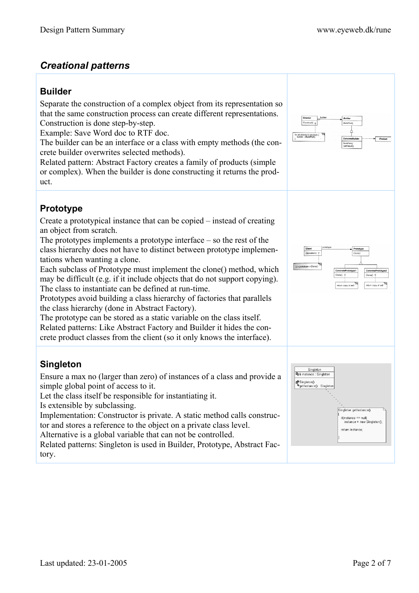# *Creational patterns*

### **Builder**

Separate the construction of a complex object from its representation so that the same construction process can create different representations. Construction is done step-by-step.

Example: Save Word doc to RTF doc.

The builder can be an interface or a class with empty methods (the concrete builder overwrites selected methods).

Related pattern: Abstract Factory creates a family of products (simple or complex). When the builder is done constructing it returns the product.

# **Prototype**

Create a prototypical instance that can be copied – instead of creating an object from scratch.

The prototypes implements a prototype interface – so the rest of the class hierarchy does not have to distinct between prototype implementations when wanting a clone.

Each subclass of Prototype must implement the clone() method, which may be difficult (e.g. if it include objects that do not support copying). The class to instantiate can be defined at run-time.

Prototypes avoid building a class hierarchy of factories that parallels the class hierarchy (done in Abstract Factory).

The prototype can be stored as a static variable on the class itself. Related patterns: Like Abstract Factory and Builder it hides the concrete product classes from the client (so it only knows the interface).

# **Singleton**

Ensure a max no (larger than zero) of instances of a class and provide a simple global point of access to it.

Let the class itself be responsible for instantiating it.

Is extensible by subclassing.

Implementation: Constructor is private. A static method calls constructor and stores a reference to the object on a private class level.

Alternative is a global variable that can not be controlled.

Related patterns: Singleton is used in Builder, Prototype, Abstract Factory.



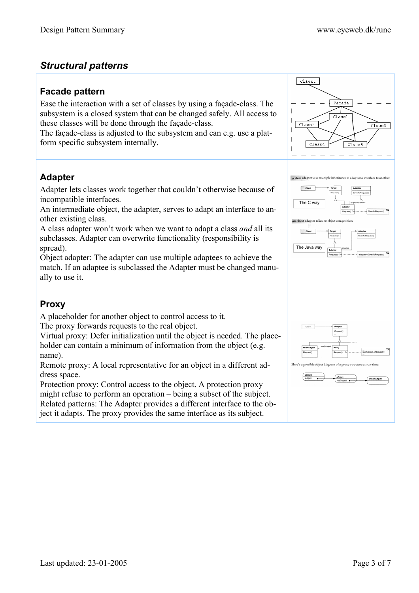# *Structural patterns*

### **Facade pattern**

Ease the interaction with a set of classes by using a façade-class. The subsystem is a closed system that can be changed safely. All access to these classes will be done through the façade-class.

The façade-class is adjusted to the subsystem and can e.g. use a platform specific subsystem internally.

# **Adapter**

Adapter lets classes work together that couldn't otherwise because of incompatible interfaces.

An intermediate object, the adapter, serves to adapt an interface to another existing class.

A class adapter won't work when we want to adapt a class *and* all its subclasses. Adapter can overwrite functionality (responsibility is spread).

Object adapter: The adapter can use multiple adaptees to achieve the match. If an adaptee is subclassed the Adapter must be changed manually to use it.

# **Proxy**

A placeholder for another object to control access to it.

The proxy forwards requests to the real object.

Virtual proxy: Defer initialization until the object is needed. The placeholder can contain a minimum of information from the object (e.g. name).

Remote proxy: A local representative for an object in a different address space.

Protection proxy: Control access to the object. A protection proxy might refuse to perform an operation – being a subset of the subject. Related patterns: The Adapter provides a different interface to the object it adapts. The proxy provides the same interface as its subject.

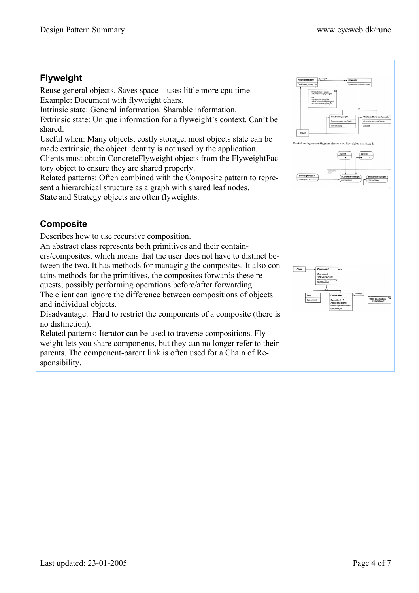#### **Flyweight**  Reuse general objects. Saves space – uses little more cpu time. (Pyweighthey) exists) ( Example: Document with flyweight chars. else (<br>create now flyweight;<br>add it to pool of flyweight<br>refum the new flowers? Intrinsic state: General information. Sharable information. Extrinsic state: Unique information for a flyweight's context. Can't be shared. Client Useful when: Many objects, costly storage, most objects state can be The following object diagram sho made extrinsic, the object identity is not used by the application. Clients must obtain ConcreteFlyweight objects from the FlyweightFactory object to ensure they are shared properly. Related patterns: Often combined with the Composite pattern to represent a hierarchical structure as a graph with shared leaf nodes. State and Strategy objects are often flyweights. **Composite**  Describes how to use recursive composition. An abstract class represents both primitives and their containers/composites, which means that the user does not have to distinct between the two. It has methods for managing the composites. It also contains methods for the primitives, the composites forwards these requests, possibly performing operations before/after forwarding. The client can ignore the difference between compositions of objects and individual objects. Disadvantage: Hard to restrict the components of a composite (there is no distinction). Related patterns: Iterator can be used to traverse compositions. Flyweight lets you share components, but they can no longer refer to their parents. The component-parent link is often used for a Chain of Responsibility.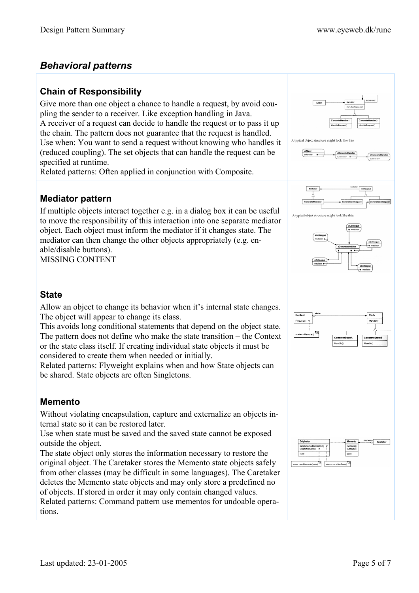# *Behavioral patterns*

## **Chain of Responsibility**

Give more than one object a chance to handle a request, by avoid coupling the sender to a receiver. Like exception handling in Java. A receiver of a request can decide to handle the request or to pass it up the chain. The pattern does not guarantee that the request is handled. Use when: You want to send a request without knowing who handles it (reduced coupling). The set objects that can handle the request can be specified at runtime.

Related patterns: Often applied in conjunction with Composite.

### **Mediator pattern**

If multiple objects interact together e.g. in a dialog box it can be useful to move the responsibility of this interaction into one separate mediator object. Each object must inform the mediator if it changes state. The mediator can then change the other objects appropriately (e.g. enable/disable buttons).

MISSING CONTENT



# **State**

Allow an object to change its behavior when it's internal state changes. The object will appear to change its class.

This avoids long conditional statements that depend on the object state. The pattern does not define who make the state transition – the Context or the state class itself. If creating individual state objects it must be considered to create them when needed or initially.

Related patterns: Flyweight explains when and how State objects can be shared. State objects are often Singletons.

### **Memento**

Without violating encapsulation, capture and externalize an objects internal state so it can be restored later.

Use when state must be saved and the saved state cannot be exposed outside the object.

The state object only stores the information necessary to restore the original object. The Caretaker stores the Memento state objects safely from other classes (may be difficult in some languages). The Caretaker deletes the Memento state objects and may only store a predefined no of objects. If stored in order it may only contain changed values. Related patterns: Command pattern use mementos for undoable operations.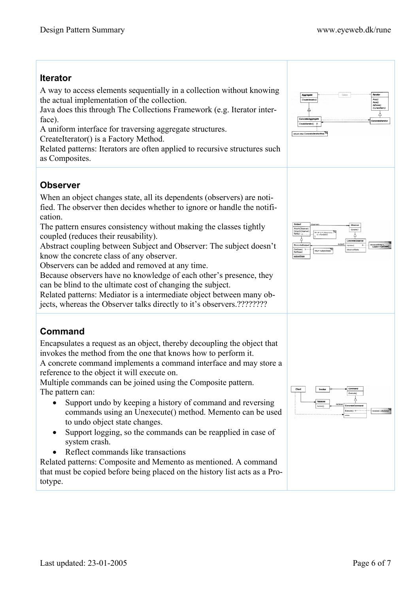# **Iterator**  A way to access elements sequentially in a collection without knowing the actual implementation of the collection. Java does this through The Collections Framework (e.g. Iterator interface). A uniform interface for traversing aggregate structures. CreateIterator() is a Factory Method. Related patterns: Iterators are often applied to recursive structures such as Composites. **Observer**  When an object changes state, all its dependents (observers) are notified. The observer then decides whether to ignore or handle the notification. The pattern ensures consistency without making the classes tightly coupled (reduces their reusability). Abstract coupling between Subject and Observer: The subject doesn't know the concrete class of any observer. Observers can be added and removed at any time. Because observers have no knowledge of each other's presence, they can be blind to the ultimate cost of changing the subject. Related patterns: Mediator is a intermediate object between many objects, whereas the Observer talks directly to it's observers.???????? **Command**  Encapsulates a request as an object, thereby decoupling the object that invokes the method from the one that knows how to perform it. A concrete command implements a command interface and may store a reference to the object it will execute on. Multiple commands can be joined using the Composite pattern. The pattern can: • Support undo by keeping a history of command and reversing commands using an Unexecute() method. Memento can be used to undo object state changes. • Support logging, so the commands can be reapplied in case of system crash. • Reflect commands like transactions Related patterns: Composite and Memento as mentioned. A command that must be copied before being placed on the history list acts as a Prototype.